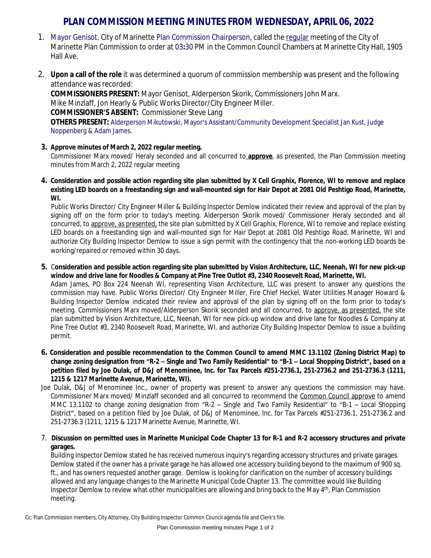## **PLAN COMMISSION MEETING MINUTES FROM WEDNESDAY, APRIL 06, 2022**

- 1. Mayor Genisot, City of Marinette Plan Commission Chairperson, called the regular meeting of the City of Marinette Plan Commission to order at 03**:**30 PM in the Common Council Chambers at Marinette City Hall, 1905 Hall Ave.
- 2. **Upon a call of the role** it was determined a quorum of commission membership was present and the following attendance was recorded:

**COMMISSIONERS PRESENT:** Mayor Genisot, Alderperson Skorik, Commissioners John Marx. Mike Minzlaff, Jon Hearly & Public Works Director/City Engineer Miller. **COMMISSIONER'S ABSENT:** Commissioner Steve Lang **OTHERS PRESENT:** Alderperson Mikutowski, Mayor's Assistant/Community Development Specialist Jan Kust, Judge Noppenberg & Adam James.

## **3. Approve minutes of March 2, 2022 regular meeting.**

Commissioner Marx moved/ Heraly seconded and all concurred to **approve**, as presented, the Plan Commission meeting minutes from March 2, 2022 regular meeting

4. Consideration and possible action regarding site plan submitted by X Cell Graphix, Florence, WI to remove and replace existing LED boards on a freestanding sign and wall-mounted sign for Hair Depot at 2081 Old Peshtigo Road, Marinette, **WI.**

Public Works Director/ City Engineer Miller & Building Inspector Demlow indicated their review and approval of the plan by signing off on the form prior to today's meeting. Alderperson Skorik moved/ Commissioner Heraly seconded and all concurred, to approve, as presented, the site plan submitted by X Cell Graphix, Florence, WI to remove and replace existing LED boards on a freestanding sign and wall-mounted sign for Hair Depot at 2081 Old Peshtigo Road, Marinette, WI and authorize City Building Inspector Demlow to issue a sign permit with the contingency that the non-working LED boards be working/repaired or removed within 30 days.

5. Consideration and possible action regarding site plan submitted by Vision Architecture, LLC, Neenah, WI for new pick-up **window and drive lane for Noodles & Company at Pine Tree Outlot #3, 2340 Roosevelt Road, Marinette, WI.**

Adam James, PO Box 224 Neenah WI, representing Vison Architecture, LLC was present to answer any questions the commission may have. Public Works Director/ City Engineer Miller, Fire Chief Heckel, Water Utilities Manager Howard & Building Inspector Demlow indicated their review and approval of the plan by signing off on the form prior to today's meeting. Commissioners Marx moved/Alderperson Skorik seconded and all concurred, to approve, as presented, the site plan submitted by Vision Architecture, LLC, Neenah, WI for new pick-up window and drive lane for Noodles & Company at Pine Tree Outlot #3, 2340 Roosevelt Road, Marinette, WI. and authorize City Building Inspector Demlow to issue a building permit.

- 6. Consideration and possible recommendation to the Common Council to amend MMC 13.1102 (Zoning District Map) to change zoning designation from "R-2 – Single and Two Family Residential" to "B-1 – Local Shopping District", based on a petition filed by Joe Dulak, of D&J of Menominee, Inc. for Tax Parcels #251-2736.1, 251-2736.2 and 251-2736.3 (1211, **1215 & 1217 Marinette Avenue, Marinette, WI).**
- Joe Dulak, D&J of Menominee Inc., owner of property was present to answer any questions the commission may have. Commissioner Marx moved/ Minzlaff seconded and all concurred to recommend the Common Council approve to amend MMC 13.1102 to change zoning designation from "R-2 – Single and Two Family Residential" to "B-1 – Local Shopping District", based on a petition filed by Joe Dulak, of D&J of Menominee, Inc. for Tax Parcels #251-2736.1, 251-2736.2 and 251-2736.3 (1211, 1215 & 1217 Marinette Avenue, Marinette, WI.
- 7. Discussion on permitted uses in Marinette Municipal Code Chapter 13 for R-1 and R-2 accessory structures and private **garages.**

Building Inspector Demlow stated he has received numerous inquiry's regarding accessory structures and private garages. Demlow stated if the owner has a private garage he has allowed one accessory building beyond to the maximum of 900 sq. ft., and has owners requested another garage. Demlow is looking for clarification on the number of accessory buildings allowed and any language changes to the Marinette Municipal Code Chapter 13. The committee would like Building Inspector Demlow to review what other municipalities are allowing and bring back to the May 4th, Plan Commission meeting.

Cc: Plan Commission members, City Attorney, City Building Inspector Common Council agenda file and Clerk's file.